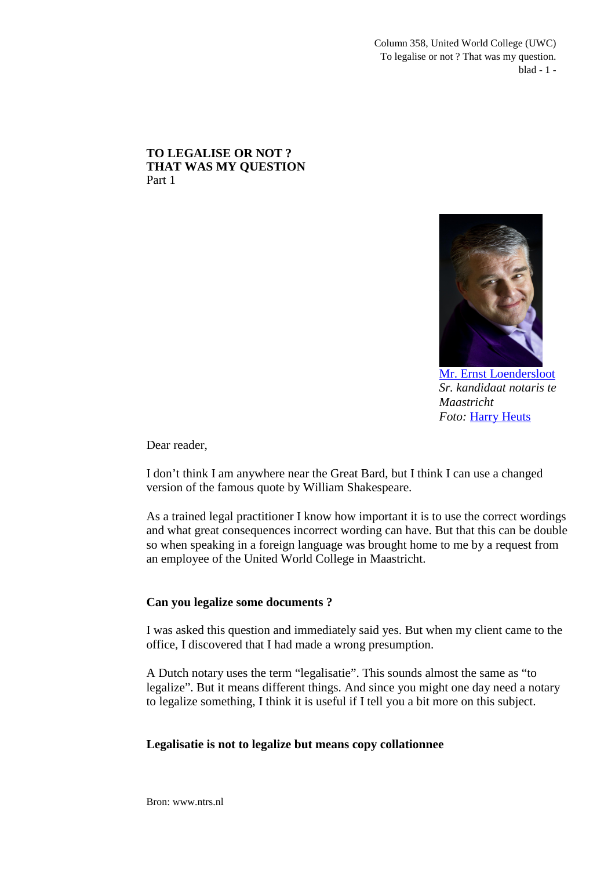Column 358, United World College (UWC) To legalise or not ? That was my question. blad - 1 -

### **TO LEGALISE OR NOT ? THAT WAS MY QUESTION** Part 1



[Mr. Ernst Loendersloot](http://www.linkedin.com/pub/ernst-loendersloot/10/ab9/aaa) *Sr. kandidaat notaris te Maastricht Foto:* [Harry Heuts](http://www.linkedin.com/pub/harry-heuts/2b/497/613)

Dear reader,

I don't think I am anywhere near the Great Bard, but I think I can use a changed version of the famous quote by William Shakespeare.

As a trained legal practitioner I know how important it is to use the correct wordings and what great consequences incorrect wording can have. But that this can be double so when speaking in a foreign language was brought home to me by a request from an employee of the United World College in Maastricht.

# **Can you legalize some documents ?**

I was asked this question and immediately said yes. But when my client came to the office, I discovered that I had made a wrong presumption.

A Dutch notary uses the term "legalisatie". This sounds almost the same as "to legalize". But it means different things. And since you might one day need a notary to legalize something, I think it is useful if I tell you a bit more on this subject.

## **Legalisatie is not to legalize but means copy collationnee**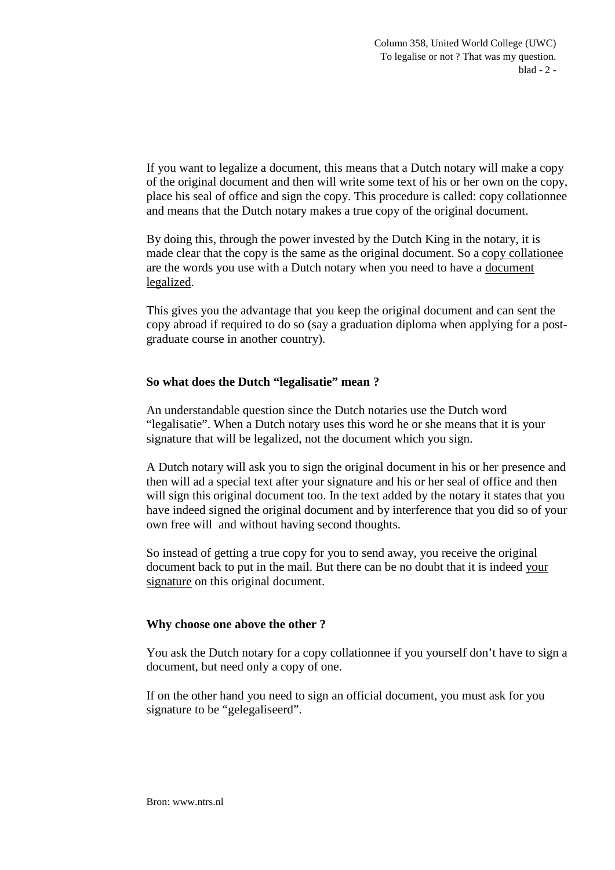If you want to legalize a document, this means that a Dutch notary will make a copy of the original document and then will write some text of his or her own on the copy, place his seal of office and sign the copy. This procedure is called: copy collationnee and means that the Dutch notary makes a true copy of the original document.

By doing this, through the power invested by the Dutch King in the notary, it is made clear that the copy is the same as the original document. So a copy collationee are the words you use with a Dutch notary when you need to have a document legalized.

This gives you the advantage that you keep the original document and can sent the copy abroad if required to do so (say a graduation diploma when applying for a postgraduate course in another country).

# **So what does the Dutch "legalisatie" mean ?**

An understandable question since the Dutch notaries use the Dutch word "legalisatie". When a Dutch notary uses this word he or she means that it is your signature that will be legalized, not the document which you sign.

A Dutch notary will ask you to sign the original document in his or her presence and then will ad a special text after your signature and his or her seal of office and then will sign this original document too. In the text added by the notary it states that you have indeed signed the original document and by interference that you did so of your own free will and without having second thoughts.

So instead of getting a true copy for you to send away, you receive the original document back to put in the mail. But there can be no doubt that it is indeed your signature on this original document.

# **Why choose one above the other ?**

You ask the Dutch notary for a copy collationnee if you yourself don't have to sign a document, but need only a copy of one.

If on the other hand you need to sign an official document, you must ask for you signature to be "gelegaliseerd".